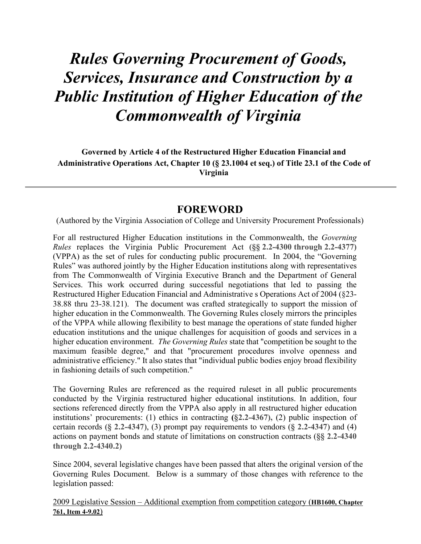# *Rules Governing Procurement of Goods, Services, Insurance and Construction by a Public Institution of Higher Education of the Commonwealth of Virginia*

**Governed by Article 4 of the Restructured Higher Education Financial and Administrative Operations Act, Chapter 10 (§ 23.1004 et seq.) of Title 23.1 of the Code of Virginia**

## **FOREWORD**

(Authored by the Virginia Association of College and University Procurement Professionals)

For all restructured Higher Education institutions in the Commonwealth, the *Governing Rules* replaces the Virginia Public Procurement Act **(§§ [2.2-4300](https://law.lis.virginia.gov/vacode/2.2-4300/) through [2.2-4377\)](https://law.lis.virginia.gov/vacode/2.2-4377/)** (VPPA) as the set of rules for conducting public procurement. In 2004, the "Governing Rules" was authored jointly by the Higher Education institutions along with representatives from The Commonwealth of Virginia Executive Branch and the Department of General Services. This work occurred during successful negotiations that led to passing the Restructured Higher Education Financial and Administrative s Operations Act of 2004 (§23- 38.88 thru 23-38.121). The document was crafted strategically to support the mission of higher education in the Commonwealth. The Governing Rules closely mirrors the principles of the VPPA while allowing flexibility to best manage the operations of state funded higher education institutions and the unique challenges for acquisition of goods and services in a higher education environment. *The Governing Rules* state that "competition be sought to the maximum feasible degree," and that "procurement procedures involve openness and administrative efficiency." It also states that "individual public bodies enjoy broad flexibility in fashioning details of such competition."

The Governing Rules are referenced as the required ruleset in all public procurements conducted by the Virginia restructured higher educational institutions. In addition, four sections referenced directly from the VPPA also apply in all restructured higher education institutions' procurements: (1) ethics in contracting **(§2.2-4367),** (2) public inspection of certain records **(§ 2.2-4347**), (3) prompt pay requirements to vendors (**§ 2.2-4347**) and (4) actions on payment bonds and statute of limitations on construction contracts (**§§ 2.2-4340 through 2.2-4340.2)**

Since 2004, several legislative changes have been passed that alters the original version of the Governing Rules Document. Below is a summary of those changes with reference to the legislation passed:

2009 Legislative Session – Additional exemption from competition category (**HB1600, Chapter 761, Item 4-9.02**)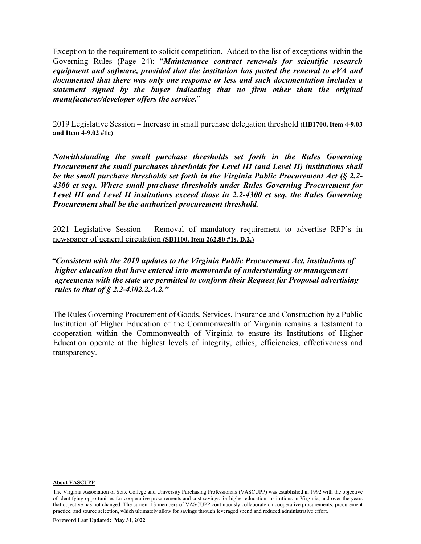Exception to the requirement to solicit competition. Added to the list of exceptions within the Governing Rules (Page 24): "*Maintenance contract renewals for scientific research equipment and software, provided that the institution has posted the renewal to eVA and documented that there was only one response or less and such documentation includes a statement signed by the buyer indicating that no firm other than the original manufacturer/developer offers the service.*"

2019 Legislative Session – Increase in small purchase delegation threshold **(HB1700, Item 4-9.03 and Item 4-9.02 #1c)**

*Notwithstanding the small purchase thresholds set forth in the Rules Governing Procurement the small purchases thresholds for Level III (and Level II) institutions shall be the small purchase thresholds set forth in the Virginia Public Procurement Act (§ 2.2- 4300 et seq). Where small purchase thresholds under Rules Governing Procurement for Level III and Level II institutions exceed those in 2.2-4300 et seq, the Rules Governing Procurement shall be the authorized procurement threshold.*

2021 Legislative Session – Removal of mandatory requirement to advertise RFP's in newspaper of general circulation **(SB1100, Item 262.80 #1s, D.2.)**

*"Consistent with the 2019 updates to the Virginia Public Procurement Act, institutions of higher education that have entered into memoranda of understanding or management agreements with the state are permitted to conform their Request for Proposal advertising rules to that of § [2.2-4302.2.](http://law.lis.virginia.gov/vacode/2.2-4302.2/)A.2."*

The Rules Governing Procurement of Goods, Services, Insurance and Construction by a Public Institution of Higher Education of the Commonwealth of Virginia remains a testament to cooperation within the Commonwealth of Virginia to ensure its Institutions of Higher Education operate at the highest levels of integrity, ethics, efficiencies, effectiveness and transparency.

#### **About VASCUPP**

The Virginia Association of State College and University Purchasing Professionals (VASCUPP) was established in 1992 with the objective of identifying opportunities for cooperative procurements and cost savings for higher education institutions in Virginia, and over the years that objective has not changed. The current 13 members of VASCUPP continuously collaborate on cooperative procurements, procurement practice, and source selection, which ultimately allow for savings through leveraged spend and reduced administrative effort.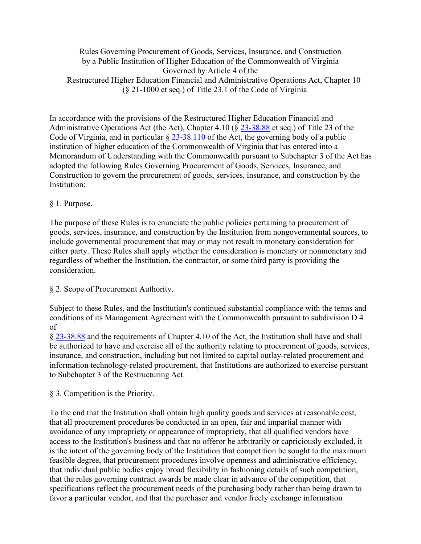Rules Governing Procurement of Goods, Services, Insurance, and Construction by a Public Institution of Higher Education of the Commonwealth of Virginia Governed by Article 4 of the Restructured Higher Education Financial and Administrative Operations Act, Chapter 10 (§ 21-1000 et seq.) of Title 23.1 of the Code of Virginia

In accordance with the provisions of the Restructured Higher Education Financial and Administrative Operations Act (the Act), Chapter 4.10 (§ 23-38.88 et seq.) of Title 23 of the Code of Virginia, and in particular § 23-38.110 of the Act, the governing body of a public institution of higher education of the Commonwealth of Virginia that has entered into a Memorandum of Understanding with the Commonwealth pursuant to Subchapter 3 of the Act has adopted the following Rules Governing Procurement of Goods, Services, Insurance, and Construction to govern the procurement of goods, services, insurance, and construction by the Institution:

#### § 1. Purpose.

The purpose of these Rules is to enunciate the public policies pertaining to procurement of goods, services, insurance, and construction by the Institution from nongovernmental sources, to include governmental procurement that may or may not result in monetary consideration for either party. These Rules shall apply whether the consideration is monetary or nonmonetary and regardless of whether the Institution, the contractor, or some third party is providing the consideration.

#### § 2. Scope of Procurement Authority.

Subject to these Rules, and the Institution's continued substantial compliance with the terms and conditions of its Management Agreement with the Commonwealth pursuant to subdivision D 4 of

§ 23-38.88 and the requirements of Chapter 4.10 of the Act, the Institution shall have and shall be authorized to have and exercise all of the authority relating to procurement of goods, services, insurance, and construction, including but not limited to capital outlay-related procurement and information technology-related procurement, that Institutions are authorized to exercise pursuant to Subchapter 3 of the Restructuring Act.

§ 3. Competition is the Priority.

To the end that the Institution shall obtain high quality goods and services at reasonable cost, that all procurement procedures be conducted in an open, fair and impartial manner with avoidance of any impropriety or appearance of impropriety, that all qualified vendors have access to the Institution's business and that no offeror be arbitrarily or capriciously excluded, it is the intent of the governing body of the Institution that competition be sought to the maximum feasible degree, that procurement procedures involve openness and administrative efficiency, that individual public bodies enjoy broad flexibility in fashioning details of such competition, that the rules governing contract awards be made clear in advance of the competition, that specifications reflect the procurement needs of the purchasing body rather than being drawn to favor a particular vendor, and that the purchaser and vendor freely exchange information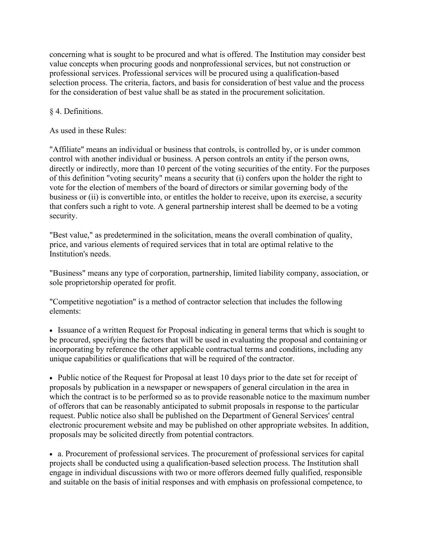concerning what is sought to be procured and what is offered. The Institution may consider best value concepts when procuring goods and nonprofessional services, but not construction or professional services. Professional services will be procured using a qualification-based selection process. The criteria, factors, and basis for consideration of best value and the process for the consideration of best value shall be as stated in the procurement solicitation.

### § 4. Definitions.

As used in these Rules:

"Affiliate" means an individual or business that controls, is controlled by, or is under common control with another individual or business. A person controls an entity if the person owns, directly or indirectly, more than 10 percent of the voting securities of the entity. For the purposes of this definition "voting security" means a security that (i) confers upon the holder the right to vote for the election of members of the board of directors or similar governing body of the business or (ii) is convertible into, or entitles the holder to receive, upon its exercise, a security that confers such a right to vote. A general partnership interest shall be deemed to be a voting security.

"Best value," as predetermined in the solicitation, means the overall combination of quality, price, and various elements of required services that in total are optimal relative to the Institution's needs.

"Business" means any type of corporation, partnership, limited liability company, association, or sole proprietorship operated for profit.

"Competitive negotiation" is a method of contractor selection that includes the following elements:

• Issuance of a written Request for Proposal indicating in general terms that which is sought to be procured, specifying the factors that will be used in evaluating the proposal and containing or incorporating by reference the other applicable contractual terms and conditions, including any unique capabilities or qualifications that will be required of the contractor.

• Public notice of the Request for Proposal at least 10 days prior to the date set for receipt of proposals by publication in a newspaper or newspapers of general circulation in the area in which the contract is to be performed so as to provide reasonable notice to the maximum number of offerors that can be reasonably anticipated to submit proposals in response to the particular request. Public notice also shall be published on the Department of General Services' central electronic procurement website and may be published on other appropriate websites. In addition, proposals may be solicited directly from potential contractors.

• a. Procurement of professional services. The procurement of professional services for capital projects shall be conducted using a qualification-based selection process. The Institution shall engage in individual discussions with two or more offerors deemed fully qualified, responsible and suitable on the basis of initial responses and with emphasis on professional competence, to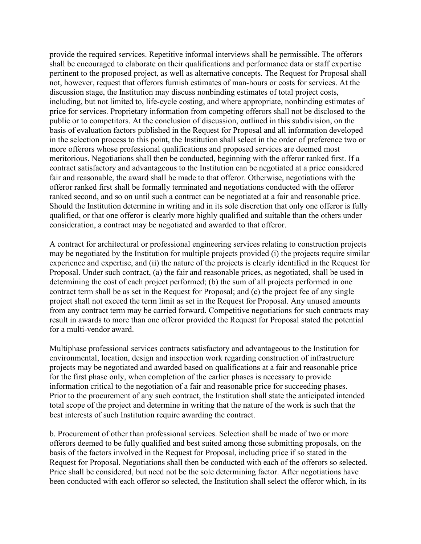provide the required services. Repetitive informal interviews shall be permissible. The offerors shall be encouraged to elaborate on their qualifications and performance data or staff expertise pertinent to the proposed project, as well as alternative concepts. The Request for Proposal shall not, however, request that offerors furnish estimates of man-hours or costs for services. At the discussion stage, the Institution may discuss nonbinding estimates of total project costs, including, but not limited to, life-cycle costing, and where appropriate, nonbinding estimates of price for services. Proprietary information from competing offerors shall not be disclosed to the public or to competitors. At the conclusion of discussion, outlined in this subdivision, on the basis of evaluation factors published in the Request for Proposal and all information developed in the selection process to this point, the Institution shall select in the order of preference two or more offerors whose professional qualifications and proposed services are deemed most meritorious. Negotiations shall then be conducted, beginning with the offeror ranked first. If a contract satisfactory and advantageous to the Institution can be negotiated at a price considered fair and reasonable, the award shall be made to that offeror. Otherwise, negotiations with the offeror ranked first shall be formally terminated and negotiations conducted with the offeror ranked second, and so on until such a contract can be negotiated at a fair and reasonable price. Should the Institution determine in writing and in its sole discretion that only one offeror is fully qualified, or that one offeror is clearly more highly qualified and suitable than the others under consideration, a contract may be negotiated and awarded to that offeror.

A contract for architectural or professional engineering services relating to construction projects may be negotiated by the Institution for multiple projects provided (i) the projects require similar experience and expertise, and (ii) the nature of the projects is clearly identified in the Request for Proposal. Under such contract, (a) the fair and reasonable prices, as negotiated, shall be used in determining the cost of each project performed; (b) the sum of all projects performed in one contract term shall be as set in the Request for Proposal; and (c) the project fee of any single project shall not exceed the term limit as set in the Request for Proposal. Any unused amounts from any contract term may be carried forward. Competitive negotiations for such contracts may result in awards to more than one offeror provided the Request for Proposal stated the potential for a multi-vendor award.

Multiphase professional services contracts satisfactory and advantageous to the Institution for environmental, location, design and inspection work regarding construction of infrastructure projects may be negotiated and awarded based on qualifications at a fair and reasonable price for the first phase only, when completion of the earlier phases is necessary to provide information critical to the negotiation of a fair and reasonable price for succeeding phases. Prior to the procurement of any such contract, the Institution shall state the anticipated intended total scope of the project and determine in writing that the nature of the work is such that the best interests of such Institution require awarding the contract.

b. Procurement of other than professional services. Selection shall be made of two or more offerors deemed to be fully qualified and best suited among those submitting proposals, on the basis of the factors involved in the Request for Proposal, including price if so stated in the Request for Proposal. Negotiations shall then be conducted with each of the offerors so selected. Price shall be considered, but need not be the sole determining factor. After negotiations have been conducted with each offeror so selected, the Institution shall select the offeror which, in its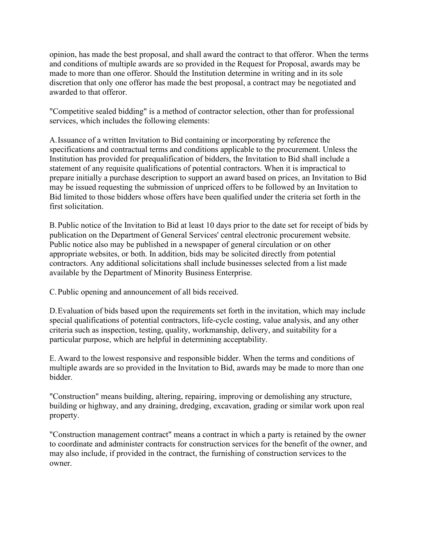opinion, has made the best proposal, and shall award the contract to that offeror. When the terms and conditions of multiple awards are so provided in the Request for Proposal, awards may be made to more than one offeror. Should the Institution determine in writing and in its sole discretion that only one offeror has made the best proposal, a contract may be negotiated and awarded to that offeror.

"Competitive sealed bidding" is a method of contractor selection, other than for professional services, which includes the following elements:

A.Issuance of a written Invitation to Bid containing or incorporating by reference the specifications and contractual terms and conditions applicable to the procurement. Unless the Institution has provided for prequalification of bidders, the Invitation to Bid shall include a statement of any requisite qualifications of potential contractors. When it is impractical to prepare initially a purchase description to support an award based on prices, an Invitation to Bid may be issued requesting the submission of unpriced offers to be followed by an Invitation to Bid limited to those bidders whose offers have been qualified under the criteria set forth in the first solicitation.

B.Public notice of the Invitation to Bid at least 10 days prior to the date set for receipt of bids by publication on the Department of General Services' central electronic procurement website. Public notice also may be published in a newspaper of general circulation or on other appropriate websites, or both. In addition, bids may be solicited directly from potential contractors. Any additional solicitations shall include businesses selected from a list made available by the Department of Minority Business Enterprise.

C.Public opening and announcement of all bids received.

D.Evaluation of bids based upon the requirements set forth in the invitation, which may include special qualifications of potential contractors, life-cycle costing, value analysis, and any other criteria such as inspection, testing, quality, workmanship, delivery, and suitability for a particular purpose, which are helpful in determining acceptability.

E. Award to the lowest responsive and responsible bidder. When the terms and conditions of multiple awards are so provided in the Invitation to Bid, awards may be made to more than one bidder.

"Construction" means building, altering, repairing, improving or demolishing any structure, building or highway, and any draining, dredging, excavation, grading or similar work upon real property.

"Construction management contract" means a contract in which a party is retained by the owner to coordinate and administer contracts for construction services for the benefit of the owner, and may also include, if provided in the contract, the furnishing of construction services to the owner.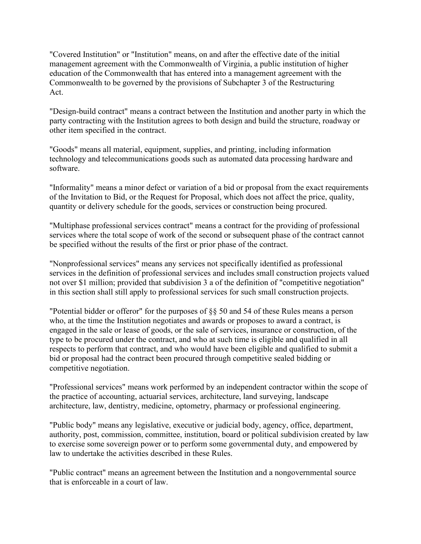"Covered Institution" or "Institution" means, on and after the effective date of the initial management agreement with the Commonwealth of Virginia, a public institution of higher education of the Commonwealth that has entered into a management agreement with the Commonwealth to be governed by the provisions of Subchapter 3 of the Restructuring Act.

"Design-build contract" means a contract between the Institution and another party in which the party contracting with the Institution agrees to both design and build the structure, roadway or other item specified in the contract.

"Goods" means all material, equipment, supplies, and printing, including information technology and telecommunications goods such as automated data processing hardware and software.

"Informality" means a minor defect or variation of a bid or proposal from the exact requirements of the Invitation to Bid, or the Request for Proposal, which does not affect the price, quality, quantity or delivery schedule for the goods, services or construction being procured.

"Multiphase professional services contract" means a contract for the providing of professional services where the total scope of work of the second or subsequent phase of the contract cannot be specified without the results of the first or prior phase of the contract.

"Nonprofessional services" means any services not specifically identified as professional services in the definition of professional services and includes small construction projects valued not over \$1 million; provided that subdivision 3 a of the definition of "competitive negotiation" in this section shall still apply to professional services for such small construction projects.

"Potential bidder or offeror" for the purposes of §§ 50 and 54 of these Rules means a person who, at the time the Institution negotiates and awards or proposes to award a contract, is engaged in the sale or lease of goods, or the sale of services, insurance or construction, of the type to be procured under the contract, and who at such time is eligible and qualified in all respects to perform that contract, and who would have been eligible and qualified to submit a bid or proposal had the contract been procured through competitive sealed bidding or competitive negotiation.

"Professional services" means work performed by an independent contractor within the scope of the practice of accounting, actuarial services, architecture, land surveying, landscape architecture, law, dentistry, medicine, optometry, pharmacy or professional engineering.

"Public body" means any legislative, executive or judicial body, agency, office, department, authority, post, commission, committee, institution, board or political subdivision created by law to exercise some sovereign power or to perform some governmental duty, and empowered by law to undertake the activities described in these Rules.

"Public contract" means an agreement between the Institution and a nongovernmental source that is enforceable in a court of law.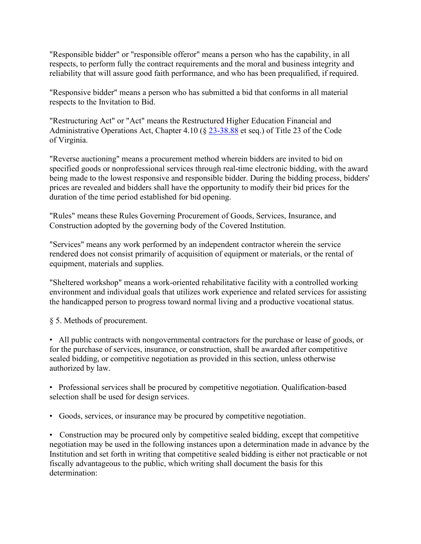"Responsible bidder" or "responsible offeror" means a person who has the capability, in all respects, to perform fully the contract requirements and the moral and business integrity and reliability that will assure good faith performance, and who has been prequalified, if required.

"Responsive bidder" means a person who has submitted a bid that conforms in all material respects to the Invitation to Bid.

"Restructuring Act" or "Act" means the Restructured Higher Education Financial and Administrative Operations Act, Chapter 4.10 (§ 23-38.88 et seq.) of Title 23 of the Code of Virginia.

"Reverse auctioning" means a procurement method wherein bidders are invited to bid on specified goods or nonprofessional services through real-time electronic bidding, with the award being made to the lowest responsive and responsible bidder. During the bidding process, bidders' prices are revealed and bidders shall have the opportunity to modify their bid prices for the duration of the time period established for bid opening.

"Rules" means these Rules Governing Procurement of Goods, Services, Insurance, and Construction adopted by the governing body of the Covered Institution.

"Services" means any work performed by an independent contractor wherein the service rendered does not consist primarily of acquisition of equipment or materials, or the rental of equipment, materials and supplies.

"Sheltered workshop" means a work-oriented rehabilitative facility with a controlled working environment and individual goals that utilizes work experience and related services for assisting the handicapped person to progress toward normal living and a productive vocational status.

§ 5. Methods of procurement.

• All public contracts with nongovernmental contractors for the purchase or lease of goods, or for the purchase of services, insurance, or construction, shall be awarded after competitive sealed bidding, or competitive negotiation as provided in this section, unless otherwise authorized by law.

• Professional services shall be procured by competitive negotiation. Qualification-based selection shall be used for design services.

• Goods, services, or insurance may be procured by competitive negotiation.

• Construction may be procured only by competitive sealed bidding, except that competitive negotiation may be used in the following instances upon a determination made in advance by the Institution and set forth in writing that competitive sealed bidding is either not practicable or not fiscally advantageous to the public, which writing shall document the basis for this determination: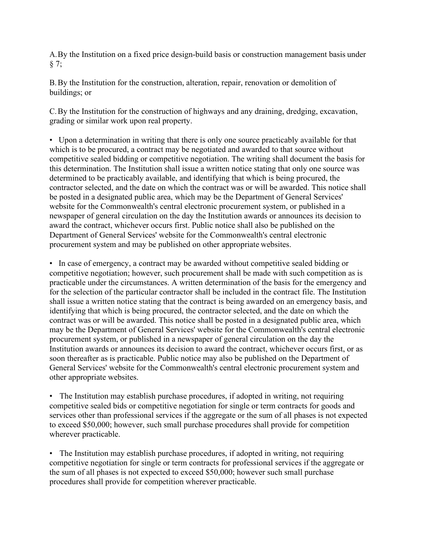A.By the Institution on a fixed price design-build basis or construction management basis under § 7;

B.By the Institution for the construction, alteration, repair, renovation or demolition of buildings; or

C.By the Institution for the construction of highways and any draining, dredging, excavation, grading or similar work upon real property.

• Upon a determination in writing that there is only one source practicably available for that which is to be procured, a contract may be negotiated and awarded to that source without competitive sealed bidding or competitive negotiation. The writing shall document the basis for this determination. The Institution shall issue a written notice stating that only one source was determined to be practicably available, and identifying that which is being procured, the contractor selected, and the date on which the contract was or will be awarded. This notice shall be posted in a designated public area, which may be the Department of General Services' website for the Commonwealth's central electronic procurement system, or published in a newspaper of general circulation on the day the Institution awards or announces its decision to award the contract, whichever occurs first. Public notice shall also be published on the Department of General Services' website for the Commonwealth's central electronic procurement system and may be published on other appropriate websites.

• In case of emergency, a contract may be awarded without competitive sealed bidding or competitive negotiation; however, such procurement shall be made with such competition as is practicable under the circumstances. A written determination of the basis for the emergency and for the selection of the particular contractor shall be included in the contract file. The Institution shall issue a written notice stating that the contract is being awarded on an emergency basis, and identifying that which is being procured, the contractor selected, and the date on which the contract was or will be awarded. This notice shall be posted in a designated public area, which may be the Department of General Services' website for the Commonwealth's central electronic procurement system, or published in a newspaper of general circulation on the day the Institution awards or announces its decision to award the contract, whichever occurs first, or as soon thereafter as is practicable. Public notice may also be published on the Department of General Services' website for the Commonwealth's central electronic procurement system and other appropriate websites.

• The Institution may establish purchase procedures, if adopted in writing, not requiring competitive sealed bids or competitive negotiation for single or term contracts for goods and services other than professional services if the aggregate or the sum of all phases is not expected to exceed \$50,000; however, such small purchase procedures shall provide for competition wherever practicable.

• The Institution may establish purchase procedures, if adopted in writing, not requiring competitive negotiation for single or term contracts for professional services if the aggregate or the sum of all phases is not expected to exceed \$50,000; however such small purchase procedures shall provide for competition wherever practicable.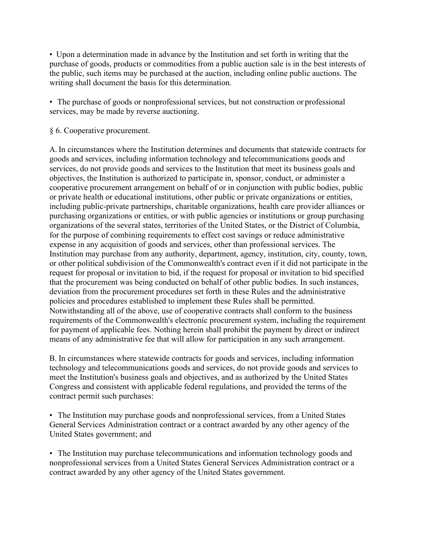• Upon a determination made in advance by the Institution and set forth in writing that the purchase of goods, products or commodities from a public auction sale is in the best interests of the public, such items may be purchased at the auction, including online public auctions. The writing shall document the basis for this determination.

• The purchase of goods or nonprofessional services, but not construction or professional services, may be made by reverse auctioning.

§ 6. Cooperative procurement.

A. In circumstances where the Institution determines and documents that statewide contracts for goods and services, including information technology and telecommunications goods and services, do not provide goods and services to the Institution that meet its business goals and objectives, the Institution is authorized to participate in, sponsor, conduct, or administer a cooperative procurement arrangement on behalf of or in conjunction with public bodies, public or private health or educational institutions, other public or private organizations or entities, including public-private partnerships, charitable organizations, health care provider alliances or purchasing organizations or entities, or with public agencies or institutions or group purchasing organizations of the several states, territories of the United States, or the District of Columbia, for the purpose of combining requirements to effect cost savings or reduce administrative expense in any acquisition of goods and services, other than professional services. The Institution may purchase from any authority, department, agency, institution, city, county, town, or other political subdivision of the Commonwealth's contract even if it did not participate in the request for proposal or invitation to bid, if the request for proposal or invitation to bid specified that the procurement was being conducted on behalf of other public bodies. In such instances, deviation from the procurement procedures set forth in these Rules and the administrative policies and procedures established to implement these Rules shall be permitted. Notwithstanding all of the above, use of cooperative contracts shall conform to the business requirements of the Commonwealth's electronic procurement system, including the requirement for payment of applicable fees. Nothing herein shall prohibit the payment by direct or indirect means of any administrative fee that will allow for participation in any such arrangement.

B. In circumstances where statewide contracts for goods and services, including information technology and telecommunications goods and services, do not provide goods and services to meet the Institution's business goals and objectives, and as authorized by the United States Congress and consistent with applicable federal regulations, and provided the terms of the contract permit such purchases:

• The Institution may purchase goods and nonprofessional services, from a United States General Services Administration contract or a contract awarded by any other agency of the United States government; and

• The Institution may purchase telecommunications and information technology goods and nonprofessional services from a United States General Services Administration contract or a contract awarded by any other agency of the United States government.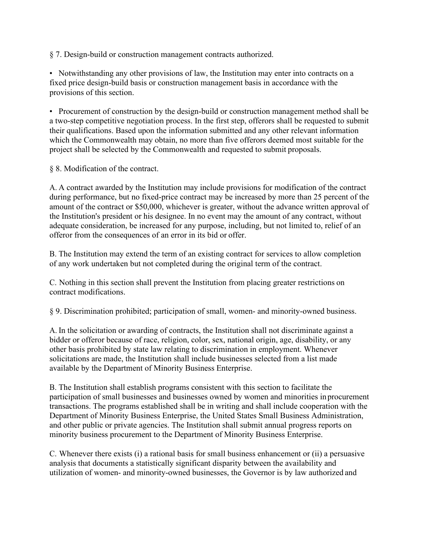§ 7. Design-build or construction management contracts authorized.

• Notwithstanding any other provisions of law, the Institution may enter into contracts on a fixed price design-build basis or construction management basis in accordance with the provisions of this section.

• Procurement of construction by the design-build or construction management method shall be a two-step competitive negotiation process. In the first step, offerors shall be requested to submit their qualifications. Based upon the information submitted and any other relevant information which the Commonwealth may obtain, no more than five offerors deemed most suitable for the project shall be selected by the Commonwealth and requested to submit proposals.

§ 8. Modification of the contract.

A. A contract awarded by the Institution may include provisions for modification of the contract during performance, but no fixed-price contract may be increased by more than 25 percent of the amount of the contract or \$50,000, whichever is greater, without the advance written approval of the Institution's president or his designee. In no event may the amount of any contract, without adequate consideration, be increased for any purpose, including, but not limited to, relief of an offeror from the consequences of an error in its bid or offer.

B. The Institution may extend the term of an existing contract for services to allow completion of any work undertaken but not completed during the original term of the contract.

C. Nothing in this section shall prevent the Institution from placing greater restrictions on contract modifications.

§ 9. Discrimination prohibited; participation of small, women- and minority-owned business.

A. In the solicitation or awarding of contracts, the Institution shall not discriminate against a bidder or offeror because of race, religion, color, sex, national origin, age, disability, or any other basis prohibited by state law relating to discrimination in employment. Whenever solicitations are made, the Institution shall include businesses selected from a list made available by the Department of Minority Business Enterprise.

B. The Institution shall establish programs consistent with this section to facilitate the participation of small businesses and businesses owned by women and minorities inprocurement transactions. The programs established shall be in writing and shall include cooperation with the Department of Minority Business Enterprise, the United States Small Business Administration, and other public or private agencies. The Institution shall submit annual progress reports on minority business procurement to the Department of Minority Business Enterprise.

C. Whenever there exists (i) a rational basis for small business enhancement or (ii) a persuasive analysis that documents a statistically significant disparity between the availability and utilization of women- and minority-owned businesses, the Governor is by law authorized and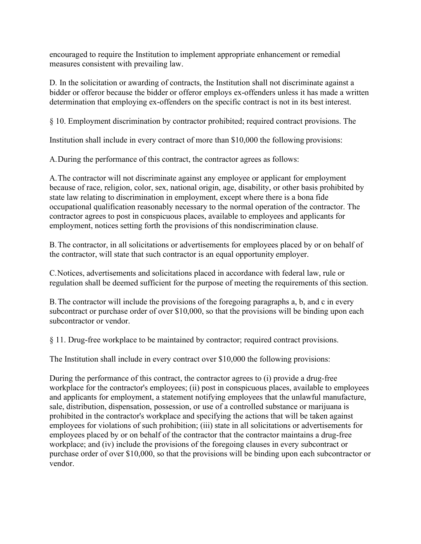encouraged to require the Institution to implement appropriate enhancement or remedial measures consistent with prevailing law.

D. In the solicitation or awarding of contracts, the Institution shall not discriminate against a bidder or offeror because the bidder or offeror employs ex-offenders unless it has made a written determination that employing ex-offenders on the specific contract is not in its best interest.

§ 10. Employment discrimination by contractor prohibited; required contract provisions. The

Institution shall include in every contract of more than \$10,000 the following provisions:

A.During the performance of this contract, the contractor agrees as follows:

A.The contractor will not discriminate against any employee or applicant for employment because of race, religion, color, sex, national origin, age, disability, or other basis prohibited by state law relating to discrimination in employment, except where there is a bona fide occupational qualification reasonably necessary to the normal operation of the contractor. The contractor agrees to post in conspicuous places, available to employees and applicants for employment, notices setting forth the provisions of this nondiscrimination clause.

B.The contractor, in all solicitations or advertisements for employees placed by or on behalf of the contractor, will state that such contractor is an equal opportunity employer.

C.Notices, advertisements and solicitations placed in accordance with federal law, rule or regulation shall be deemed sufficient for the purpose of meeting the requirements of this section.

B.The contractor will include the provisions of the foregoing paragraphs a, b, and c in every subcontract or purchase order of over \$10,000, so that the provisions will be binding upon each subcontractor or vendor.

§ 11. Drug-free workplace to be maintained by contractor; required contract provisions.

The Institution shall include in every contract over \$10,000 the following provisions:

During the performance of this contract, the contractor agrees to (i) provide a drug-free workplace for the contractor's employees; (ii) post in conspicuous places, available to employees and applicants for employment, a statement notifying employees that the unlawful manufacture, sale, distribution, dispensation, possession, or use of a controlled substance or marijuana is prohibited in the contractor's workplace and specifying the actions that will be taken against employees for violations of such prohibition; (iii) state in all solicitations or advertisements for employees placed by or on behalf of the contractor that the contractor maintains a drug-free workplace; and (iv) include the provisions of the foregoing clauses in every subcontract or purchase order of over \$10,000, so that the provisions will be binding upon each subcontractor or vendor.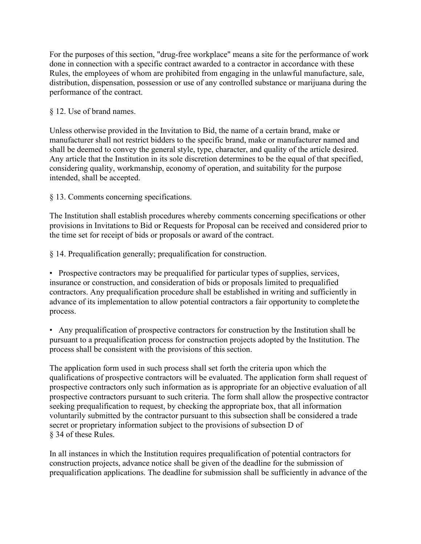For the purposes of this section, "drug-free workplace" means a site for the performance of work done in connection with a specific contract awarded to a contractor in accordance with these Rules, the employees of whom are prohibited from engaging in the unlawful manufacture, sale, distribution, dispensation, possession or use of any controlled substance or marijuana during the performance of the contract.

#### § 12. Use of brand names.

Unless otherwise provided in the Invitation to Bid, the name of a certain brand, make or manufacturer shall not restrict bidders to the specific brand, make or manufacturer named and shall be deemed to convey the general style, type, character, and quality of the article desired. Any article that the Institution in its sole discretion determines to be the equal of that specified, considering quality, workmanship, economy of operation, and suitability for the purpose intended, shall be accepted.

§ 13. Comments concerning specifications.

The Institution shall establish procedures whereby comments concerning specifications or other provisions in Invitations to Bid or Requests for Proposal can be received and considered prior to the time set for receipt of bids or proposals or award of the contract.

§ 14. Prequalification generally; prequalification for construction.

• Prospective contractors may be prequalified for particular types of supplies, services, insurance or construction, and consideration of bids or proposals limited to prequalified contractors. Any prequalification procedure shall be established in writing and sufficiently in advance of its implementation to allow potential contractors a fair opportunity to complete the process.

• Any prequalification of prospective contractors for construction by the Institution shall be pursuant to a prequalification process for construction projects adopted by the Institution. The process shall be consistent with the provisions of this section.

The application form used in such process shall set forth the criteria upon which the qualifications of prospective contractors will be evaluated. The application form shall request of prospective contractors only such information as is appropriate for an objective evaluation of all prospective contractors pursuant to such criteria. The form shall allow the prospective contractor seeking prequalification to request, by checking the appropriate box, that all information voluntarily submitted by the contractor pursuant to this subsection shall be considered a trade secret or proprietary information subject to the provisions of subsection D of § 34 of these Rules.

In all instances in which the Institution requires prequalification of potential contractors for construction projects, advance notice shall be given of the deadline for the submission of prequalification applications. The deadline for submission shall be sufficiently in advance of the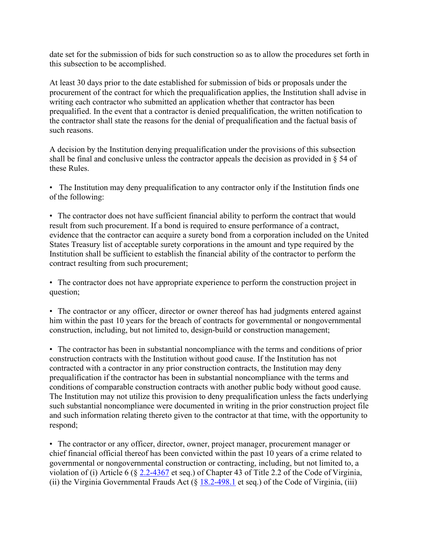date set for the submission of bids for such construction so as to allow the procedures set forth in this subsection to be accomplished.

At least 30 days prior to the date established for submission of bids or proposals under the procurement of the contract for which the prequalification applies, the Institution shall advise in writing each contractor who submitted an application whether that contractor has been prequalified. In the event that a contractor is denied prequalification, the written notification to the contractor shall state the reasons for the denial of prequalification and the factual basis of such reasons.

A decision by the Institution denying prequalification under the provisions of this subsection shall be final and conclusive unless the contractor appeals the decision as provided in § 54 of these Rules.

• The Institution may deny prequalification to any contractor only if the Institution finds one of the following:

• The contractor does not have sufficient financial ability to perform the contract that would result from such procurement. If a bond is required to ensure performance of a contract, evidence that the contractor can acquire a surety bond from a corporation included on the United States Treasury list of acceptable surety corporations in the amount and type required by the Institution shall be sufficient to establish the financial ability of the contractor to perform the contract resulting from such procurement;

• The contractor does not have appropriate experience to perform the construction project in question;

• The contractor or any officer, director or owner thereof has had judgments entered against him within the past 10 years for the breach of contracts for governmental or nongovernmental construction, including, but not limited to, design-build or construction management;

• The contractor has been in substantial noncompliance with the terms and conditions of prior construction contracts with the Institution without good cause. If the Institution has not contracted with a contractor in any prior construction contracts, the Institution may deny prequalification if the contractor has been in substantial noncompliance with the terms and conditions of comparable construction contracts with another public body without good cause. The Institution may not utilize this provision to deny prequalification unless the facts underlying such substantial noncompliance were documented in writing in the prior construction project file and such information relating thereto given to the contractor at that time, with the opportunity to respond;

• The contractor or any officer, director, owner, project manager, procurement manager or chief financial official thereof has been convicted within the past 10 years of a crime related to governmental or nongovernmental construction or contracting, including, but not limited to, a violation of (i) Article 6 (§ 2.2-4367 et seq.) of Chapter 43 of Title 2.2 of the Code of Virginia, (ii) the Virginia Governmental Frauds Act  $(\S 18.2-498.1$  et seq.) of the Code of Virginia, (iii)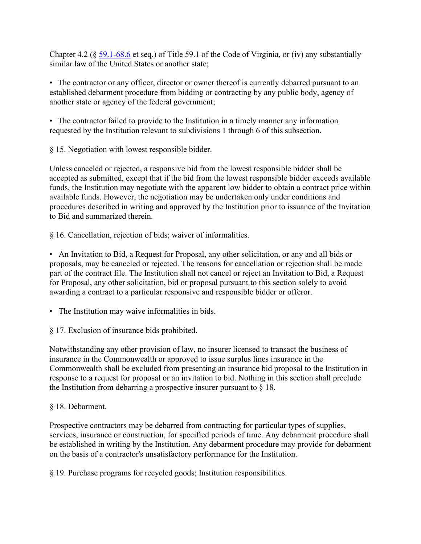Chapter 4.2 (§ 59.1-68.6 et seq.) of Title 59.1 of the Code of Virginia, or (iv) any substantially similar law of the United States or another state;

• The contractor or any officer, director or owner thereof is currently debarred pursuant to an established debarment procedure from bidding or contracting by any public body, agency of another state or agency of the federal government;

• The contractor failed to provide to the Institution in a timely manner any information requested by the Institution relevant to subdivisions 1 through 6 of this subsection.

§ 15. Negotiation with lowest responsible bidder.

Unless canceled or rejected, a responsive bid from the lowest responsible bidder shall be accepted as submitted, except that if the bid from the lowest responsible bidder exceeds available funds, the Institution may negotiate with the apparent low bidder to obtain a contract price within available funds. However, the negotiation may be undertaken only under conditions and procedures described in writing and approved by the Institution prior to issuance of the Invitation to Bid and summarized therein.

§ 16. Cancellation, rejection of bids; waiver of informalities.

• An Invitation to Bid, a Request for Proposal, any other solicitation, or any and all bids or proposals, may be canceled or rejected. The reasons for cancellation or rejection shall be made part of the contract file. The Institution shall not cancel or reject an Invitation to Bid, a Request for Proposal, any other solicitation, bid or proposal pursuant to this section solely to avoid awarding a contract to a particular responsive and responsible bidder or offeror.

• The Institution may waive informalities in bids.

§ 17. Exclusion of insurance bids prohibited.

Notwithstanding any other provision of law, no insurer licensed to transact the business of insurance in the Commonwealth or approved to issue surplus lines insurance in the Commonwealth shall be excluded from presenting an insurance bid proposal to the Institution in response to a request for proposal or an invitation to bid. Nothing in this section shall preclude the Institution from debarring a prospective insurer pursuant to  $\S$  18.

#### § 18. Debarment.

Prospective contractors may be debarred from contracting for particular types of supplies, services, insurance or construction, for specified periods of time. Any debarment procedure shall be established in writing by the Institution. Any debarment procedure may provide for debarment on the basis of a contractor's unsatisfactory performance for the Institution.

§ 19. Purchase programs for recycled goods; Institution responsibilities.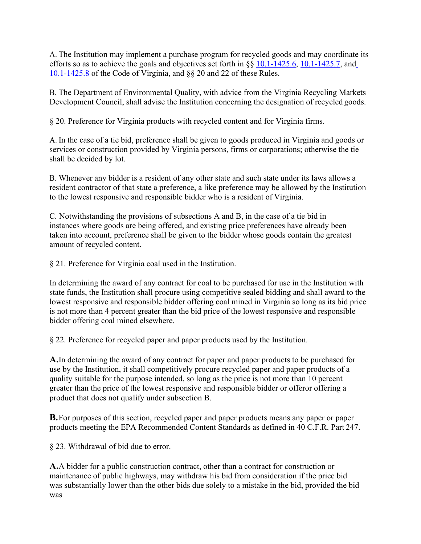A. The Institution may implement a purchase program for recycled goods and may coordinate its efforts so as to achieve the goals and objectives set forth in §§ 10.1-1425.6, 10.1-1425.7, and 10.1-1425.8 of the Code of Virginia, and §§ 20 and 22 of these Rules.

B. The Department of Environmental Quality, with advice from the Virginia Recycling Markets Development Council, shall advise the Institution concerning the designation of recycled goods.

§ 20. Preference for Virginia products with recycled content and for Virginia firms.

A. In the case of a tie bid, preference shall be given to goods produced in Virginia and goods or services or construction provided by Virginia persons, firms or corporations; otherwise the tie shall be decided by lot.

B. Whenever any bidder is a resident of any other state and such state under its laws allows a resident contractor of that state a preference, a like preference may be allowed by the Institution to the lowest responsive and responsible bidder who is a resident of Virginia.

C. Notwithstanding the provisions of subsections A and B, in the case of a tie bid in instances where goods are being offered, and existing price preferences have already been taken into account, preference shall be given to the bidder whose goods contain the greatest amount of recycled content.

§ 21. Preference for Virginia coal used in the Institution.

In determining the award of any contract for coal to be purchased for use in the Institution with state funds, the Institution shall procure using competitive sealed bidding and shall award to the lowest responsive and responsible bidder offering coal mined in Virginia so long as its bid price is not more than 4 percent greater than the bid price of the lowest responsive and responsible bidder offering coal mined elsewhere.

§ 22. Preference for recycled paper and paper products used by the Institution.

**A.**In determining the award of any contract for paper and paper products to be purchased for use by the Institution, it shall competitively procure recycled paper and paper products of a quality suitable for the purpose intended, so long as the price is not more than 10 percent greater than the price of the lowest responsive and responsible bidder or offeror offering a product that does not qualify under subsection B.

**B.**For purposes of this section, recycled paper and paper products means any paper or paper products meeting the EPA Recommended Content Standards as defined in 40 C.F.R. Part 247.

§ 23. Withdrawal of bid due to error.

**A.**A bidder for a public construction contract, other than a contract for construction or maintenance of public highways, may withdraw his bid from consideration if the price bid was substantially lower than the other bids due solely to a mistake in the bid, provided the bid was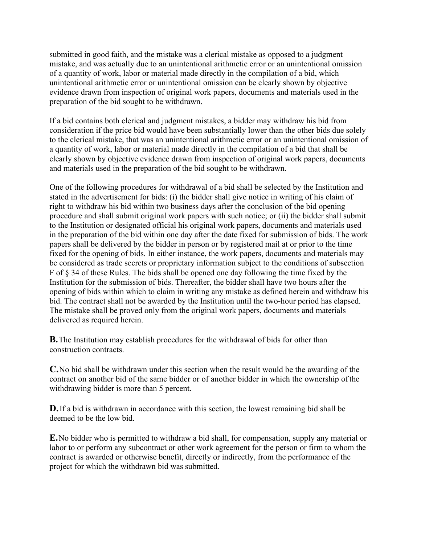submitted in good faith, and the mistake was a clerical mistake as opposed to a judgment mistake, and was actually due to an unintentional arithmetic error or an unintentional omission of a quantity of work, labor or material made directly in the compilation of a bid, which unintentional arithmetic error or unintentional omission can be clearly shown by objective evidence drawn from inspection of original work papers, documents and materials used in the preparation of the bid sought to be withdrawn.

If a bid contains both clerical and judgment mistakes, a bidder may withdraw his bid from consideration if the price bid would have been substantially lower than the other bids due solely to the clerical mistake, that was an unintentional arithmetic error or an unintentional omission of a quantity of work, labor or material made directly in the compilation of a bid that shall be clearly shown by objective evidence drawn from inspection of original work papers, documents and materials used in the preparation of the bid sought to be withdrawn.

One of the following procedures for withdrawal of a bid shall be selected by the Institution and stated in the advertisement for bids: (i) the bidder shall give notice in writing of his claim of right to withdraw his bid within two business days after the conclusion of the bid opening procedure and shall submit original work papers with such notice; or (ii) the bidder shall submit to the Institution or designated official his original work papers, documents and materials used in the preparation of the bid within one day after the date fixed for submission of bids. The work papers shall be delivered by the bidder in person or by registered mail at or prior to the time fixed for the opening of bids. In either instance, the work papers, documents and materials may be considered as trade secrets or proprietary information subject to the conditions of subsection F of § 34 of these Rules. The bids shall be opened one day following the time fixed by the Institution for the submission of bids. Thereafter, the bidder shall have two hours after the opening of bids within which to claim in writing any mistake as defined herein and withdraw his bid. The contract shall not be awarded by the Institution until the two-hour period has elapsed. The mistake shall be proved only from the original work papers, documents and materials delivered as required herein.

**B.**The Institution may establish procedures for the withdrawal of bids for other than construction contracts.

**C.**No bid shall be withdrawn under this section when the result would be the awarding of the contract on another bid of the same bidder or of another bidder in which the ownership ofthe withdrawing bidder is more than 5 percent.

**D.**If a bid is withdrawn in accordance with this section, the lowest remaining bid shall be deemed to be the low bid.

**E.**No bidder who is permitted to withdraw a bid shall, for compensation, supply any material or labor to or perform any subcontract or other work agreement for the person or firm to whom the contract is awarded or otherwise benefit, directly or indirectly, from the performance of the project for which the withdrawn bid was submitted.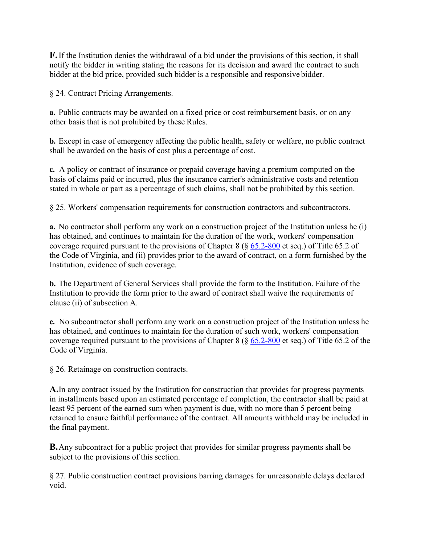**F.**If the Institution denies the withdrawal of a bid under the provisions of this section, it shall notify the bidder in writing stating the reasons for its decision and award the contract to such bidder at the bid price, provided such bidder is a responsible and responsive bidder.

§ 24. Contract Pricing Arrangements.

**a.** Public contracts may be awarded on a fixed price or cost reimbursement basis, or on any other basis that is not prohibited by these Rules.

**b.** Except in case of emergency affecting the public health, safety or welfare, no public contract shall be awarded on the basis of cost plus a percentage of cost.

**c.** A policy or contract of insurance or prepaid coverage having a premium computed on the basis of claims paid or incurred, plus the insurance carrier's administrative costs and retention stated in whole or part as a percentage of such claims, shall not be prohibited by this section.

§ 25. Workers' compensation requirements for construction contractors and subcontractors.

**a.** No contractor shall perform any work on a construction project of the Institution unless he (i) has obtained, and continues to maintain for the duration of the work, workers' compensation coverage required pursuant to the provisions of Chapter 8 (§ 65.2-800 et seq.) of Title 65.2 of the Code of Virginia, and (ii) provides prior to the award of contract, on a form furnished by the Institution, evidence of such coverage.

**b.** The Department of General Services shall provide the form to the Institution. Failure of the Institution to provide the form prior to the award of contract shall waive the requirements of clause (ii) of subsection A.

**c.** No subcontractor shall perform any work on a construction project of the Institution unless he has obtained, and continues to maintain for the duration of such work, workers' compensation coverage required pursuant to the provisions of Chapter 8 (§ 65.2-800 et seq.) of Title 65.2 of the Code of Virginia.

§ 26. Retainage on construction contracts.

**A.**In any contract issued by the Institution for construction that provides for progress payments in installments based upon an estimated percentage of completion, the contractor shall be paid at least 95 percent of the earned sum when payment is due, with no more than 5 percent being retained to ensure faithful performance of the contract. All amounts withheld may be included in the final payment.

**B.**Any subcontract for a public project that provides for similar progress payments shall be subject to the provisions of this section.

§ 27. Public construction contract provisions barring damages for unreasonable delays declared void.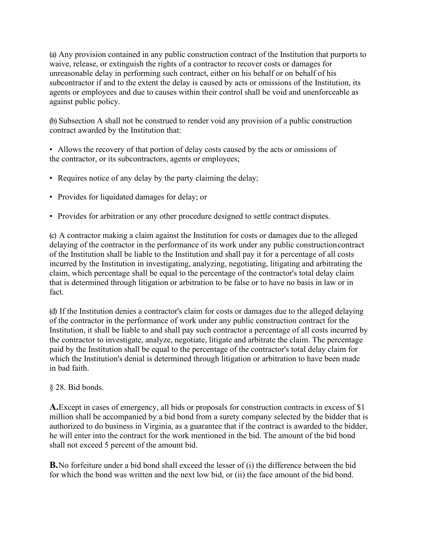(a) Any provision contained in any public construction contract of the Institution that purports to waive, release, or extinguish the rights of a contractor to recover costs or damages for unreasonable delay in performing such contract, either on his behalf or on behalf of his subcontractor if and to the extent the delay is caused by acts or omissions of the Institution, its agents or employees and due to causes within their control shall be void and unenforceable as against public policy.

(b) Subsection A shall not be construed to render void any provision of a public construction contract awarded by the Institution that:

• Allows the recovery of that portion of delay costs caused by the acts or omissions of the contractor, or its subcontractors, agents or employees;

- Requires notice of any delay by the party claiming the delay;
- Provides for liquidated damages for delay; or
- Provides for arbitration or any other procedure designed to settle contract disputes.

(c) A contractor making a claim against the Institution for costs or damages due to the alleged delaying of the contractor in the performance of its work under any public constructioncontract of the Institution shall be liable to the Institution and shall pay it for a percentage of all costs incurred by the Institution in investigating, analyzing, negotiating, litigating and arbitrating the claim, which percentage shall be equal to the percentage of the contractor's total delay claim that is determined through litigation or arbitration to be false or to have no basis in law or in fact.

(d) If the Institution denies a contractor's claim for costs or damages due to the alleged delaying of the contractor in the performance of work under any public construction contract for the Institution, it shall be liable to and shall pay such contractor a percentage of all costs incurred by the contractor to investigate, analyze, negotiate, litigate and arbitrate the claim. The percentage paid by the Institution shall be equal to the percentage of the contractor's total delay claim for which the Institution's denial is determined through litigation or arbitration to have been made in bad faith.

#### § 28. Bid bonds.

**A.**Except in cases of emergency, all bids or proposals for construction contracts in excess of \$1 million shall be accompanied by a bid bond from a surety company selected by the bidder that is authorized to do business in Virginia, as a guarantee that if the contract is awarded to the bidder, he will enter into the contract for the work mentioned in the bid. The amount of the bid bond shall not exceed 5 percent of the amount bid.

**B.**No forfeiture under a bid bond shall exceed the lesser of (i) the difference between the bid for which the bond was written and the next low bid, or (ii) the face amount of the bid bond.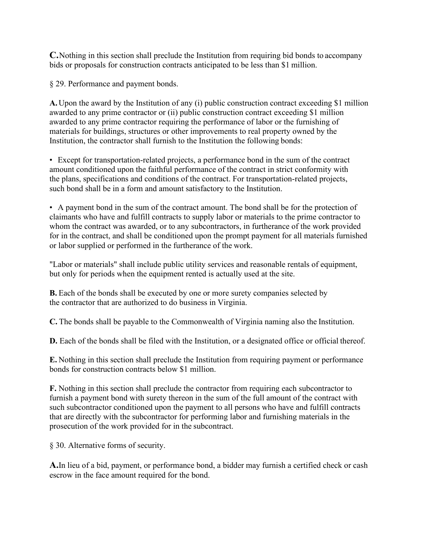**C.**Nothing in this section shall preclude the Institution from requiring bid bonds to accompany bids or proposals for construction contracts anticipated to be less than \$1 million.

§ 29. Performance and payment bonds.

**A.**Upon the award by the Institution of any (i) public construction contract exceeding \$1 million awarded to any prime contractor or (ii) public construction contract exceeding \$1 million awarded to any prime contractor requiring the performance of labor or the furnishing of materials for buildings, structures or other improvements to real property owned by the Institution, the contractor shall furnish to the Institution the following bonds:

• Except for transportation-related projects, a performance bond in the sum of the contract amount conditioned upon the faithful performance of the contract in strict conformity with the plans, specifications and conditions of the contract. For transportation-related projects, such bond shall be in a form and amount satisfactory to the Institution.

• A payment bond in the sum of the contract amount. The bond shall be for the protection of claimants who have and fulfill contracts to supply labor or materials to the prime contractor to whom the contract was awarded, or to any subcontractors, in furtherance of the work provided for in the contract, and shall be conditioned upon the prompt payment for all materials furnished or labor supplied or performed in the furtherance of the work.

"Labor or materials" shall include public utility services and reasonable rentals of equipment, but only for periods when the equipment rented is actually used at the site.

**B.** Each of the bonds shall be executed by one or more surety companies selected by the contractor that are authorized to do business in Virginia.

**C.** The bonds shall be payable to the Commonwealth of Virginia naming also the Institution.

**D.** Each of the bonds shall be filed with the Institution, or a designated office or official thereof.

**E.** Nothing in this section shall preclude the Institution from requiring payment or performance bonds for construction contracts below \$1 million.

**F.** Nothing in this section shall preclude the contractor from requiring each subcontractor to furnish a payment bond with surety thereon in the sum of the full amount of the contract with such subcontractor conditioned upon the payment to all persons who have and fulfill contracts that are directly with the subcontractor for performing labor and furnishing materials in the prosecution of the work provided for in the subcontract.

§ 30. Alternative forms of security.

**A.**In lieu of a bid, payment, or performance bond, a bidder may furnish a certified check or cash escrow in the face amount required for the bond.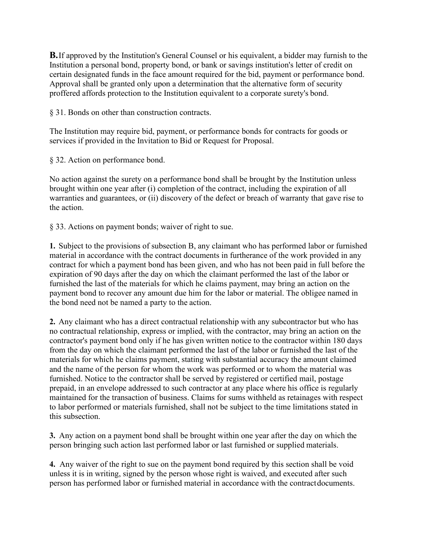**B.**If approved by the Institution's General Counsel or his equivalent, a bidder may furnish to the Institution a personal bond, property bond, or bank or savings institution's letter of credit on certain designated funds in the face amount required for the bid, payment or performance bond. Approval shall be granted only upon a determination that the alternative form of security proffered affords protection to the Institution equivalent to a corporate surety's bond.

§ 31. Bonds on other than construction contracts.

The Institution may require bid, payment, or performance bonds for contracts for goods or services if provided in the Invitation to Bid or Request for Proposal.

§ 32. Action on performance bond.

No action against the surety on a performance bond shall be brought by the Institution unless brought within one year after (i) completion of the contract, including the expiration of all warranties and guarantees, or (ii) discovery of the defect or breach of warranty that gave rise to the action.

§ 33. Actions on payment bonds; waiver of right to sue.

**1.** Subject to the provisions of subsection B, any claimant who has performed labor or furnished material in accordance with the contract documents in furtherance of the work provided in any contract for which a payment bond has been given, and who has not been paid in full before the expiration of 90 days after the day on which the claimant performed the last of the labor or furnished the last of the materials for which he claims payment, may bring an action on the payment bond to recover any amount due him for the labor or material. The obligee named in the bond need not be named a party to the action.

**2.** Any claimant who has a direct contractual relationship with any subcontractor but who has no contractual relationship, express or implied, with the contractor, may bring an action on the contractor's payment bond only if he has given written notice to the contractor within 180 days from the day on which the claimant performed the last of the labor or furnished the last of the materials for which he claims payment, stating with substantial accuracy the amount claimed and the name of the person for whom the work was performed or to whom the material was furnished. Notice to the contractor shall be served by registered or certified mail, postage prepaid, in an envelope addressed to such contractor at any place where his office is regularly maintained for the transaction of business. Claims for sums withheld as retainages with respect to labor performed or materials furnished, shall not be subject to the time limitations stated in this subsection.

**3.** Any action on a payment bond shall be brought within one year after the day on which the person bringing such action last performed labor or last furnished or supplied materials.

**4.** Any waiver of the right to sue on the payment bond required by this section shall be void unless it is in writing, signed by the person whose right is waived, and executed after such person has performed labor or furnished material in accordance with the contractdocuments.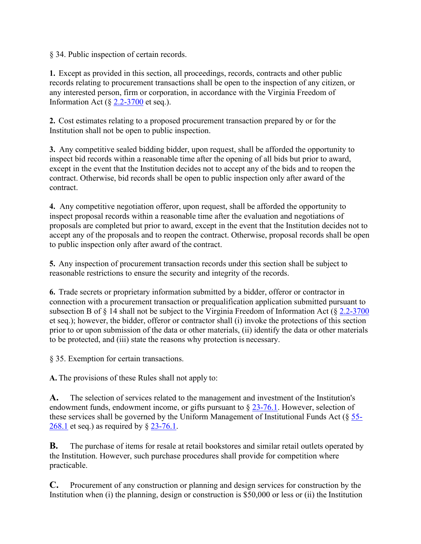§ 34. Public inspection of certain records.

**1.** Except as provided in this section, all proceedings, records, contracts and other public records relating to procurement transactions shall be open to the inspection of any citizen, or any interested person, firm or corporation, in accordance with the Virginia Freedom of Information Act  $(\S$  2.2-3700 et seq.).

**2.** Cost estimates relating to a proposed procurement transaction prepared by or for the Institution shall not be open to public inspection.

**3.** Any competitive sealed bidding bidder, upon request, shall be afforded the opportunity to inspect bid records within a reasonable time after the opening of all bids but prior to award, except in the event that the Institution decides not to accept any of the bids and to reopen the contract. Otherwise, bid records shall be open to public inspection only after award of the contract.

**4.** Any competitive negotiation offeror, upon request, shall be afforded the opportunity to inspect proposal records within a reasonable time after the evaluation and negotiations of proposals are completed but prior to award, except in the event that the Institution decides not to accept any of the proposals and to reopen the contract. Otherwise, proposal records shall be open to public inspection only after award of the contract.

**5.** Any inspection of procurement transaction records under this section shall be subject to reasonable restrictions to ensure the security and integrity of the records.

**6.** Trade secrets or proprietary information submitted by a bidder, offeror or contractor in connection with a procurement transaction or prequalification application submitted pursuant to subsection B of § 14 shall not be subject to the Virginia Freedom of Information Act (§ 2.2-3700 et seq.); however, the bidder, offeror or contractor shall (i) invoke the protections of this section prior to or upon submission of the data or other materials, (ii) identify the data or other materials to be protected, and (iii) state the reasons why protection is necessary.

§ 35. Exemption for certain transactions.

**A.** The provisions of these Rules shall not apply to:

**A.** The selection of services related to the management and investment of the Institution's endowment funds, endowment income, or gifts pursuant to  $\S 23$ -76.1. However, selection of these services shall be governed by the Uniform Management of Institutional Funds Act (§ 55- 268.1 et seq.) as required by § 23-76.1.

**B.** The purchase of items for resale at retail bookstores and similar retail outlets operated by the Institution. However, such purchase procedures shall provide for competition where practicable.

**C.** Procurement of any construction or planning and design services for construction by the Institution when (i) the planning, design or construction is \$50,000 or less or (ii) the Institution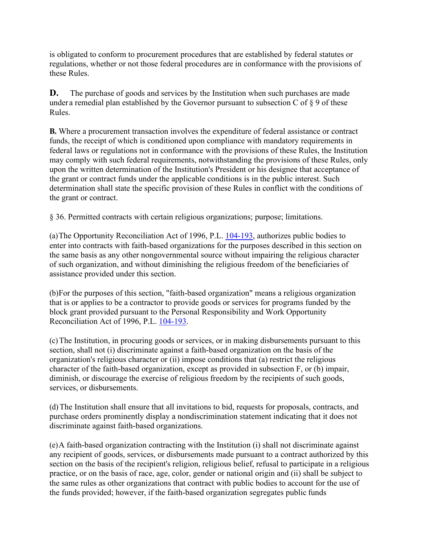is obligated to conform to procurement procedures that are established by federal statutes or regulations, whether or not those federal procedures are in conformance with the provisions of these Rules.

**D.** The purchase of goods and services by the Institution when such purchases are made under a remedial plan established by the Governor pursuant to subsection C of § 9 of these Rules.

**B.** Where a procurement transaction involves the expenditure of federal assistance or contract funds, the receipt of which is conditioned upon compliance with mandatory requirements in federal laws or regulations not in conformance with the provisions of these Rules, the Institution may comply with such federal requirements, notwithstanding the provisions of these Rules, only upon the written determination of the Institution's President or his designee that acceptance of the grant or contract funds under the applicable conditions is in the public interest. Such determination shall state the specific provision of these Rules in conflict with the conditions of the grant or contract.

§ 36. Permitted contracts with certain religious organizations; purpose; limitations.

(a)The Opportunity Reconciliation Act of 1996, P.L. 104-193, authorizes public bodies to enter into contracts with faith-based organizations for the purposes described in this section on the same basis as any other nongovernmental source without impairing the religious character of such organization, and without diminishing the religious freedom of the beneficiaries of assistance provided under this section.

(b)For the purposes of this section, "faith-based organization" means a religious organization that is or applies to be a contractor to provide goods or services for programs funded by the block grant provided pursuant to the Personal Responsibility and Work Opportunity Reconciliation Act of 1996, P.L. 104-193.

(c)The Institution, in procuring goods or services, or in making disbursements pursuant to this section, shall not (i) discriminate against a faith-based organization on the basis of the organization's religious character or (ii) impose conditions that (a) restrict the religious character of the faith-based organization, except as provided in subsection F, or (b) impair, diminish, or discourage the exercise of religious freedom by the recipients of such goods, services, or disbursements.

(d)The Institution shall ensure that all invitations to bid, requests for proposals, contracts, and purchase orders prominently display a nondiscrimination statement indicating that it does not discriminate against faith-based organizations.

(e)A faith-based organization contracting with the Institution (i) shall not discriminate against any recipient of goods, services, or disbursements made pursuant to a contract authorized by this section on the basis of the recipient's religion, religious belief, refusal to participate in a religious practice, or on the basis of race, age, color, gender or national origin and (ii) shall be subject to the same rules as other organizations that contract with public bodies to account for the use of the funds provided; however, if the faith-based organization segregates public funds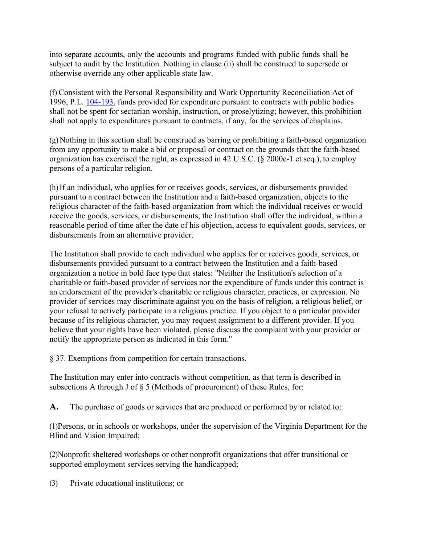into separate accounts, only the accounts and programs funded with public funds shall be subject to audit by the Institution. Nothing in clause (ii) shall be construed to supersede or otherwise override any other applicable state law.

(f) Consistent with the Personal Responsibility and Work Opportunity Reconciliation Act of 1996, P.L. 104-193, funds provided for expenditure pursuant to contracts with public bodies shall not be spent for sectarian worship, instruction, or proselytizing; however, this prohibition shall not apply to expenditures pursuant to contracts, if any, for the services of chaplains.

 $(g)$ Nothing in this section shall be construed as barring or prohibiting a faith-based organization from any opportunity to make a bid or proposal or contract on the grounds that the faith-based organization has exercised the right, as expressed in 42 U.S.C. (§ 2000e-1 et seq.), to employ persons of a particular religion.

(h)If an individual, who applies for or receives goods, services, or disbursements provided pursuant to a contract between the Institution and a faith-based organization, objects to the religious character of the faith-based organization from which the individual receives or would receive the goods, services, or disbursements, the Institution shall offer the individual, within a reasonable period of time after the date of his objection, access to equivalent goods, services, or disbursements from an alternative provider.

The Institution shall provide to each individual who applies for or receives goods, services, or disbursements provided pursuant to a contract between the Institution and a faith-based organization a notice in bold face type that states: "Neither the Institution's selection of a charitable or faith-based provider of services nor the expenditure of funds under this contract is an endorsement of the provider's charitable or religious character, practices, or expression. No provider of services may discriminate against you on the basis of religion, a religious belief, or your refusal to actively participate in a religious practice. If you object to a particular provider because of its religious character, you may request assignment to a different provider. If you believe that your rights have been violated, please discuss the complaint with your provider or notify the appropriate person as indicated in this form."

§ 37. Exemptions from competition for certain transactions.

The Institution may enter into contracts without competition, as that term is described in subsections A through J of § 5 (Methods of procurement) of these Rules, for:

**A.** The purchase of goods or services that are produced or performed by or related to:

(1)Persons, or in schools or workshops, under the supervision of the Virginia Department for the Blind and Vision Impaired;

(2)Nonprofit sheltered workshops or other nonprofit organizations that offer transitional or supported employment services serving the handicapped;

(3) Private educational institutions; or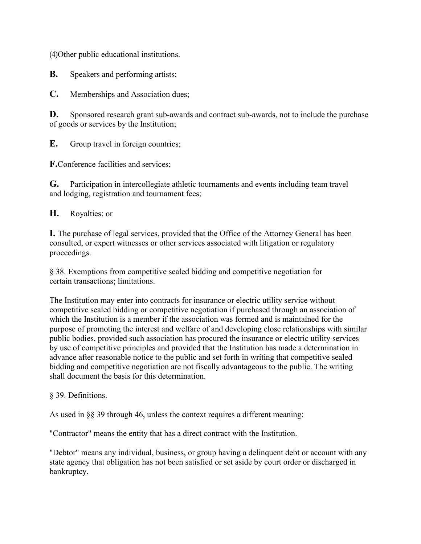(4)Other public educational institutions.

**B.** Speakers and performing artists;

**C.** Memberships and Association dues;

**D.** Sponsored research grant sub-awards and contract sub-awards, not to include the purchase of goods or services by the Institution;

**E.** Group travel in foreign countries;

**F.**Conference facilities and services;

**G.** Participation in intercollegiate athletic tournaments and events including team travel and lodging, registration and tournament fees;

**H.** Royalties; or

**I.** The purchase of legal services, provided that the Office of the Attorney General has been consulted, or expert witnesses or other services associated with litigation or regulatory proceedings.

§ 38. Exemptions from competitive sealed bidding and competitive negotiation for certain transactions; limitations.

The Institution may enter into contracts for insurance or electric utility service without competitive sealed bidding or competitive negotiation if purchased through an association of which the Institution is a member if the association was formed and is maintained for the purpose of promoting the interest and welfare of and developing close relationships with similar public bodies, provided such association has procured the insurance or electric utility services by use of competitive principles and provided that the Institution has made a determination in advance after reasonable notice to the public and set forth in writing that competitive sealed bidding and competitive negotiation are not fiscally advantageous to the public. The writing shall document the basis for this determination.

#### § 39. Definitions.

As used in §§ 39 through 46, unless the context requires a different meaning:

"Contractor" means the entity that has a direct contract with the Institution.

"Debtor" means any individual, business, or group having a delinquent debt or account with any state agency that obligation has not been satisfied or set aside by court order or discharged in bankruptcy.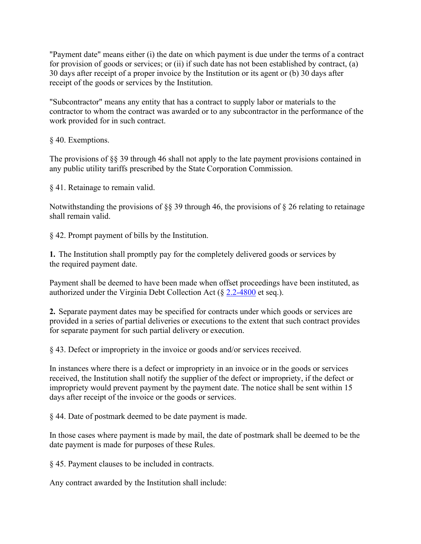"Payment date" means either (i) the date on which payment is due under the terms of a contract for provision of goods or services; or (ii) if such date has not been established by contract, (a) 30 days after receipt of a proper invoice by the Institution or its agent or (b) 30 days after receipt of the goods or services by the Institution.

"Subcontractor" means any entity that has a contract to supply labor or materials to the contractor to whom the contract was awarded or to any subcontractor in the performance of the work provided for in such contract.

§ 40. Exemptions.

The provisions of §§ 39 through 46 shall not apply to the late payment provisions contained in any public utility tariffs prescribed by the State Corporation Commission.

§ 41. Retainage to remain valid.

Notwithstanding the provisions of §§ 39 through 46, the provisions of § 26 relating to retainage shall remain valid.

§ 42. Prompt payment of bills by the Institution.

**1.** The Institution shall promptly pay for the completely delivered goods or services by the required payment date.

Payment shall be deemed to have been made when offset proceedings have been instituted, as authorized under the Virginia Debt Collection Act (§ 2.2-4800 et seq.).

**2.** Separate payment dates may be specified for contracts under which goods or services are provided in a series of partial deliveries or executions to the extent that such contract provides for separate payment for such partial delivery or execution.

§ 43. Defect or impropriety in the invoice or goods and/or services received.

In instances where there is a defect or impropriety in an invoice or in the goods or services received, the Institution shall notify the supplier of the defect or impropriety, if the defect or impropriety would prevent payment by the payment date. The notice shall be sent within 15 days after receipt of the invoice or the goods or services.

§ 44. Date of postmark deemed to be date payment is made.

In those cases where payment is made by mail, the date of postmark shall be deemed to be the date payment is made for purposes of these Rules.

§ 45. Payment clauses to be included in contracts.

Any contract awarded by the Institution shall include: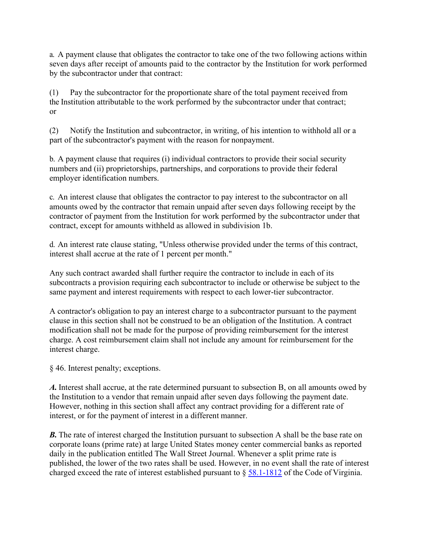a. A payment clause that obligates the contractor to take one of the two following actions within seven days after receipt of amounts paid to the contractor by the Institution for work performed by the subcontractor under that contract:

(1) Pay the subcontractor for the proportionate share of the total payment received from the Institution attributable to the work performed by the subcontractor under that contract; or

(2) Notify the Institution and subcontractor, in writing, of his intention to withhold all or a part of the subcontractor's payment with the reason for nonpayment.

b. A payment clause that requires (i) individual contractors to provide their social security numbers and (ii) proprietorships, partnerships, and corporations to provide their federal employer identification numbers.

c. An interest clause that obligates the contractor to pay interest to the subcontractor on all amounts owed by the contractor that remain unpaid after seven days following receipt by the contractor of payment from the Institution for work performed by the subcontractor under that contract, except for amounts withheld as allowed in subdivision 1b.

d. An interest rate clause stating, "Unless otherwise provided under the terms of this contract, interest shall accrue at the rate of 1 percent per month."

Any such contract awarded shall further require the contractor to include in each of its subcontracts a provision requiring each subcontractor to include or otherwise be subject to the same payment and interest requirements with respect to each lower-tier subcontractor.

A contractor's obligation to pay an interest charge to a subcontractor pursuant to the payment clause in this section shall not be construed to be an obligation of the Institution. A contract modification shall not be made for the purpose of providing reimbursement for the interest charge. A cost reimbursement claim shall not include any amount for reimbursement for the interest charge.

§ 46. Interest penalty; exceptions.

*A.* Interest shall accrue, at the rate determined pursuant to subsection B, on all amounts owed by the Institution to a vendor that remain unpaid after seven days following the payment date. However, nothing in this section shall affect any contract providing for a different rate of interest, or for the payment of interest in a different manner.

*B***.** The rate of interest charged the Institution pursuant to subsection A shall be the base rate on corporate loans (prime rate) at large United States money center commercial banks as reported daily in the publication entitled The Wall Street Journal. Whenever a split prime rate is published, the lower of the two rates shall be used. However, in no event shall the rate of interest charged exceed the rate of interest established pursuant to § 58.1-1812 of the Code of Virginia.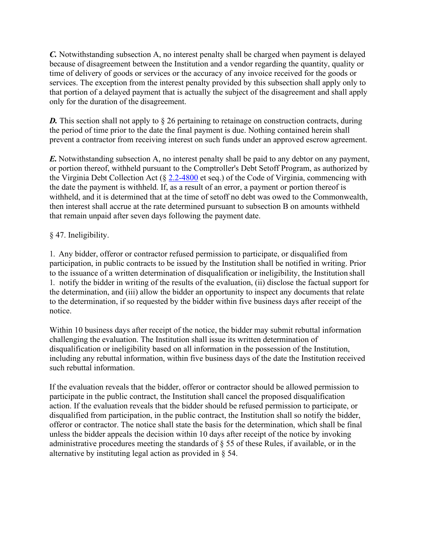*C.* Notwithstanding subsection A, no interest penalty shall be charged when payment is delayed because of disagreement between the Institution and a vendor regarding the quantity, quality or time of delivery of goods or services or the accuracy of any invoice received for the goods or services. The exception from the interest penalty provided by this subsection shall apply only to that portion of a delayed payment that is actually the subject of the disagreement and shall apply only for the duration of the disagreement.

**D.** This section shall not apply to § 26 pertaining to retainage on construction contracts, during the period of time prior to the date the final payment is due. Nothing contained herein shall prevent a contractor from receiving interest on such funds under an approved escrow agreement.

*E.* Notwithstanding subsection A, no interest penalty shall be paid to any debtor on any payment, or portion thereof, withheld pursuant to the Comptroller's Debt Setoff Program, as authorized by the Virginia Debt Collection Act (§ 2.2-4800 et seq.) of the Code of Virginia, commencing with the date the payment is withheld. If, as a result of an error, a payment or portion thereof is withheld, and it is determined that at the time of setoff no debt was owed to the Commonwealth, then interest shall accrue at the rate determined pursuant to subsection B on amounts withheld that remain unpaid after seven days following the payment date.

### § 47. Ineligibility.

1. Any bidder, offeror or contractor refused permission to participate, or disqualified from participation, in public contracts to be issued by the Institution shall be notified in writing. Prior to the issuance of a written determination of disqualification or ineligibility, the Institution shall 1. notify the bidder in writing of the results of the evaluation, (ii) disclose the factual support for the determination, and (iii) allow the bidder an opportunity to inspect any documents that relate to the determination, if so requested by the bidder within five business days after receipt of the notice.

Within 10 business days after receipt of the notice, the bidder may submit rebuttal information challenging the evaluation. The Institution shall issue its written determination of disqualification or ineligibility based on all information in the possession of the Institution, including any rebuttal information, within five business days of the date the Institution received such rebuttal information.

If the evaluation reveals that the bidder, offeror or contractor should be allowed permission to participate in the public contract, the Institution shall cancel the proposed disqualification action. If the evaluation reveals that the bidder should be refused permission to participate, or disqualified from participation, in the public contract, the Institution shall so notify the bidder, offeror or contractor. The notice shall state the basis for the determination, which shall be final unless the bidder appeals the decision within 10 days after receipt of the notice by invoking administrative procedures meeting the standards of § 55 of these Rules, if available, or in the alternative by instituting legal action as provided in § 54.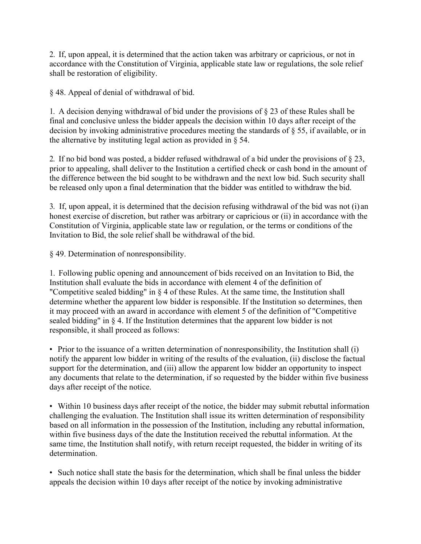2. If, upon appeal, it is determined that the action taken was arbitrary or capricious, or not in accordance with the Constitution of Virginia, applicable state law or regulations, the sole relief shall be restoration of eligibility.

§ 48. Appeal of denial of withdrawal of bid.

1. A decision denying withdrawal of bid under the provisions of § 23 of these Rules shall be final and conclusive unless the bidder appeals the decision within 10 days after receipt of the decision by invoking administrative procedures meeting the standards of § 55, if available, or in the alternative by instituting legal action as provided in § 54.

2. If no bid bond was posted, a bidder refused withdrawal of a bid under the provisions of § 23, prior to appealing, shall deliver to the Institution a certified check or cash bond in the amount of the difference between the bid sought to be withdrawn and the next low bid. Such security shall be released only upon a final determination that the bidder was entitled to withdraw the bid.

3. If, upon appeal, it is determined that the decision refusing withdrawal of the bid was not (i) an honest exercise of discretion, but rather was arbitrary or capricious or (ii) in accordance with the Constitution of Virginia, applicable state law or regulation, or the terms or conditions of the Invitation to Bid, the sole relief shall be withdrawal of the bid.

§ 49. Determination of nonresponsibility.

1. Following public opening and announcement of bids received on an Invitation to Bid, the Institution shall evaluate the bids in accordance with element 4 of the definition of "Competitive sealed bidding" in § 4 of these Rules. At the same time, the Institution shall determine whether the apparent low bidder is responsible. If the Institution so determines, then it may proceed with an award in accordance with element 5 of the definition of "Competitive sealed bidding" in § 4. If the Institution determines that the apparent low bidder is not responsible, it shall proceed as follows:

• Prior to the issuance of a written determination of nonresponsibility, the Institution shall (i) notify the apparent low bidder in writing of the results of the evaluation, (ii) disclose the factual support for the determination, and (iii) allow the apparent low bidder an opportunity to inspect any documents that relate to the determination, if so requested by the bidder within five business days after receipt of the notice.

• Within 10 business days after receipt of the notice, the bidder may submit rebuttal information challenging the evaluation. The Institution shall issue its written determination of responsibility based on all information in the possession of the Institution, including any rebuttal information, within five business days of the date the Institution received the rebuttal information. At the same time, the Institution shall notify, with return receipt requested, the bidder in writing of its determination.

• Such notice shall state the basis for the determination, which shall be final unless the bidder appeals the decision within 10 days after receipt of the notice by invoking administrative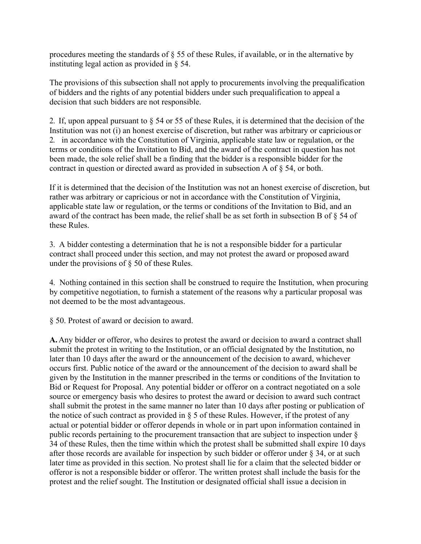procedures meeting the standards of § 55 of these Rules, if available, or in the alternative by instituting legal action as provided in § 54.

The provisions of this subsection shall not apply to procurements involving the prequalification of bidders and the rights of any potential bidders under such prequalification to appeal a decision that such bidders are not responsible.

2. If, upon appeal pursuant to § 54 or 55 of these Rules, it is determined that the decision of the Institution was not (i) an honest exercise of discretion, but rather was arbitrary or capricious or 2. in accordance with the Constitution of Virginia, applicable state law or regulation, or the terms or conditions of the Invitation to Bid, and the award of the contract in question has not been made, the sole relief shall be a finding that the bidder is a responsible bidder for the contract in question or directed award as provided in subsection A of § 54, or both.

If it is determined that the decision of the Institution was not an honest exercise of discretion, but rather was arbitrary or capricious or not in accordance with the Constitution of Virginia, applicable state law or regulation, or the terms or conditions of the Invitation to Bid, and an award of the contract has been made, the relief shall be as set forth in subsection B of § 54 of these Rules.

3. A bidder contesting a determination that he is not a responsible bidder for a particular contract shall proceed under this section, and may not protest the award or proposed award under the provisions of § 50 of these Rules.

4. Nothing contained in this section shall be construed to require the Institution, when procuring by competitive negotiation, to furnish a statement of the reasons why a particular proposal was not deemed to be the most advantageous.

§ 50. Protest of award or decision to award.

**A.**Any bidder or offeror, who desires to protest the award or decision to award a contract shall submit the protest in writing to the Institution, or an official designated by the Institution, no later than 10 days after the award or the announcement of the decision to award, whichever occurs first. Public notice of the award or the announcement of the decision to award shall be given by the Institution in the manner prescribed in the terms or conditions of the Invitation to Bid or Request for Proposal. Any potential bidder or offeror on a contract negotiated on a sole source or emergency basis who desires to protest the award or decision to award such contract shall submit the protest in the same manner no later than 10 days after posting or publication of the notice of such contract as provided in § 5 of these Rules. However, if the protest of any actual or potential bidder or offeror depends in whole or in part upon information contained in public records pertaining to the procurement transaction that are subject to inspection under § 34 of these Rules, then the time within which the protest shall be submitted shall expire 10 days after those records are available for inspection by such bidder or offeror under § 34, or at such later time as provided in this section. No protest shall lie for a claim that the selected bidder or offeror is not a responsible bidder or offeror. The written protest shall include the basis for the protest and the relief sought. The Institution or designated official shall issue a decision in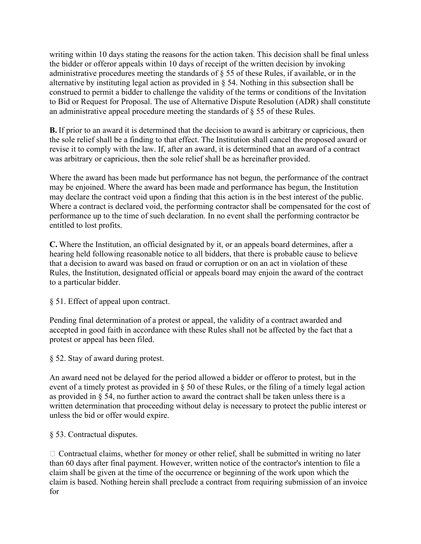writing within 10 days stating the reasons for the action taken. This decision shall be final unless the bidder or offeror appeals within 10 days of receipt of the written decision by invoking administrative procedures meeting the standards of § 55 of these Rules, if available, or in the alternative by instituting legal action as provided in § 54. Nothing in this subsection shall be construed to permit a bidder to challenge the validity of the terms or conditions of the Invitation to Bid or Request for Proposal. The use of Alternative Dispute Resolution (ADR) shall constitute an administrative appeal procedure meeting the standards of § 55 of these Rules.

**B.** If prior to an award it is determined that the decision to award is arbitrary or capricious, then the sole relief shall be a finding to that effect. The Institution shall cancel the proposed award or revise it to comply with the law. If, after an award, it is determined that an award of a contract was arbitrary or capricious, then the sole relief shall be as hereinafter provided.

Where the award has been made but performance has not begun, the performance of the contract may be enjoined. Where the award has been made and performance has begun, the Institution may declare the contract void upon a finding that this action is in the best interest of the public. Where a contract is declared void, the performing contractor shall be compensated for the cost of performance up to the time of such declaration. In no event shall the performing contractor be entitled to lost profits.

**C.** Where the Institution, an official designated by it, or an appeals board determines, after a hearing held following reasonable notice to all bidders, that there is probable cause to believe that a decision to award was based on fraud or corruption or on an act in violation of these Rules, the Institution, designated official or appeals board may enjoin the award of the contract to a particular bidder.

§ 51. Effect of appeal upon contract.

Pending final determination of a protest or appeal, the validity of a contract awarded and accepted in good faith in accordance with these Rules shall not be affected by the fact that a protest or appeal has been filed.

§ 52. Stay of award during protest.

An award need not be delayed for the period allowed a bidder or offeror to protest, but in the event of a timely protest as provided in § 50 of these Rules, or the filing of a timely legal action as provided in § 54, no further action to award the contract shall be taken unless there is a written determination that proceeding without delay is necessary to protect the public interest or unless the bid or offer would expire.

§ 53. Contractual disputes.

 $\Box$  Contractual claims, whether for money or other relief, shall be submitted in writing no later than 60 days after final payment. However, written notice of the contractor's intention to file a claim shall be given at the time of the occurrence or beginning of the work upon which the claim is based. Nothing herein shall preclude a contract from requiring submission of an invoice for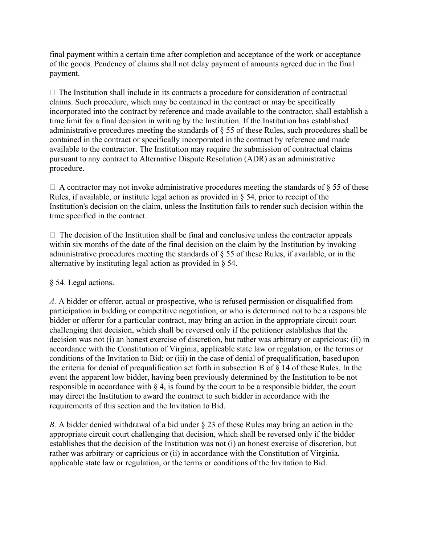final payment within a certain time after completion and acceptance of the work or acceptance of the goods. Pendency of claims shall not delay payment of amounts agreed due in the final payment.

 $\Box$  The Institution shall include in its contracts a procedure for consideration of contractual claims. Such procedure, which may be contained in the contract or may be specifically incorporated into the contract by reference and made available to the contractor, shall establish a time limit for a final decision in writing by the Institution. If the Institution has established administrative procedures meeting the standards of § 55 of these Rules, such procedures shall be contained in the contract or specifically incorporated in the contract by reference and made available to the contractor. The Institution may require the submission of contractual claims pursuant to any contract to Alternative Dispute Resolution (ADR) as an administrative procedure.

 $\Box$  A contractor may not invoke administrative procedures meeting the standards of § 55 of these Rules, if available, or institute legal action as provided in § 54, prior to receipt of the Institution's decision on the claim, unless the Institution fails to render such decision within the time specified in the contract.

 $\Box$  The decision of the Institution shall be final and conclusive unless the contractor appeals within six months of the date of the final decision on the claim by the Institution by invoking administrative procedures meeting the standards of  $\S$  55 of these Rules, if available, or in the alternative by instituting legal action as provided in § 54.

#### § 54. Legal actions.

*A.* A bidder or offeror, actual or prospective, who is refused permission or disqualified from participation in bidding or competitive negotiation, or who is determined not to be a responsible bidder or offeror for a particular contract, may bring an action in the appropriate circuit court challenging that decision, which shall be reversed only if the petitioner establishes that the decision was not (i) an honest exercise of discretion, but rather was arbitrary or capricious; (ii) in accordance with the Constitution of Virginia, applicable state law or regulation, or the terms or conditions of the Invitation to Bid; or (iii) in the case of denial of prequalification, based upon the criteria for denial of prequalification set forth in subsection B of § 14 of these Rules. In the event the apparent low bidder, having been previously determined by the Institution to be not responsible in accordance with  $\S 4$ , is found by the court to be a responsible bidder, the court may direct the Institution to award the contract to such bidder in accordance with the requirements of this section and the Invitation to Bid.

*B.* A bidder denied withdrawal of a bid under § 23 of these Rules may bring an action in the appropriate circuit court challenging that decision, which shall be reversed only if the bidder establishes that the decision of the Institution was not (i) an honest exercise of discretion, but rather was arbitrary or capricious or (ii) in accordance with the Constitution of Virginia, applicable state law or regulation, or the terms or conditions of the Invitation to Bid.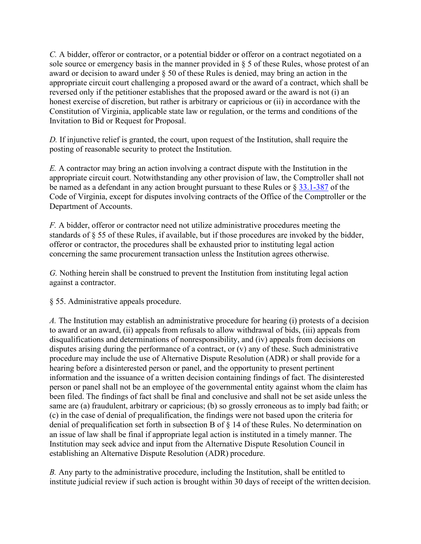*C.* A bidder, offeror or contractor, or a potential bidder or offeror on a contract negotiated on a sole source or emergency basis in the manner provided in § 5 of these Rules, whose protest of an award or decision to award under § 50 of these Rules is denied, may bring an action in the appropriate circuit court challenging a proposed award or the award of a contract, which shall be reversed only if the petitioner establishes that the proposed award or the award is not (i) an honest exercise of discretion, but rather is arbitrary or capricious or (ii) in accordance with the Constitution of Virginia, applicable state law or regulation, or the terms and conditions of the Invitation to Bid or Request for Proposal.

*D.* If injunctive relief is granted, the court, upon request of the Institution, shall require the posting of reasonable security to protect the Institution.

*E.* A contractor may bring an action involving a contract dispute with the Institution in the appropriate circuit court. Notwithstanding any other provision of law, the Comptroller shall not be named as a defendant in any action brought pursuant to these Rules or  $\S 33.1-387$  of the Code of Virginia, except for disputes involving contracts of the Office of the Comptroller or the Department of Accounts.

*F.* A bidder, offeror or contractor need not utilize administrative procedures meeting the standards of § 55 of these Rules, if available, but if those procedures are invoked by the bidder, offeror or contractor, the procedures shall be exhausted prior to instituting legal action concerning the same procurement transaction unless the Institution agrees otherwise.

*G.* Nothing herein shall be construed to prevent the Institution from instituting legal action against a contractor.

§ 55. Administrative appeals procedure.

*A.* The Institution may establish an administrative procedure for hearing (i) protests of a decision to award or an award, (ii) appeals from refusals to allow withdrawal of bids, (iii) appeals from disqualifications and determinations of nonresponsibility, and (iv) appeals from decisions on disputes arising during the performance of a contract, or (v) any of these. Such administrative procedure may include the use of Alternative Dispute Resolution (ADR) or shall provide for a hearing before a disinterested person or panel, and the opportunity to present pertinent information and the issuance of a written decision containing findings of fact. The disinterested person or panel shall not be an employee of the governmental entity against whom the claim has been filed. The findings of fact shall be final and conclusive and shall not be set aside unless the same are (a) fraudulent, arbitrary or capricious; (b) so grossly erroneous as to imply bad faith; or (c) in the case of denial of prequalification, the findings were not based upon the criteria for denial of prequalification set forth in subsection B of § 14 of these Rules. No determination on an issue of law shall be final if appropriate legal action is instituted in a timely manner. The Institution may seek advice and input from the Alternative Dispute Resolution Council in establishing an Alternative Dispute Resolution (ADR) procedure.

*B.* Any party to the administrative procedure, including the Institution, shall be entitled to institute judicial review if such action is brought within 30 days of receipt of the written decision.